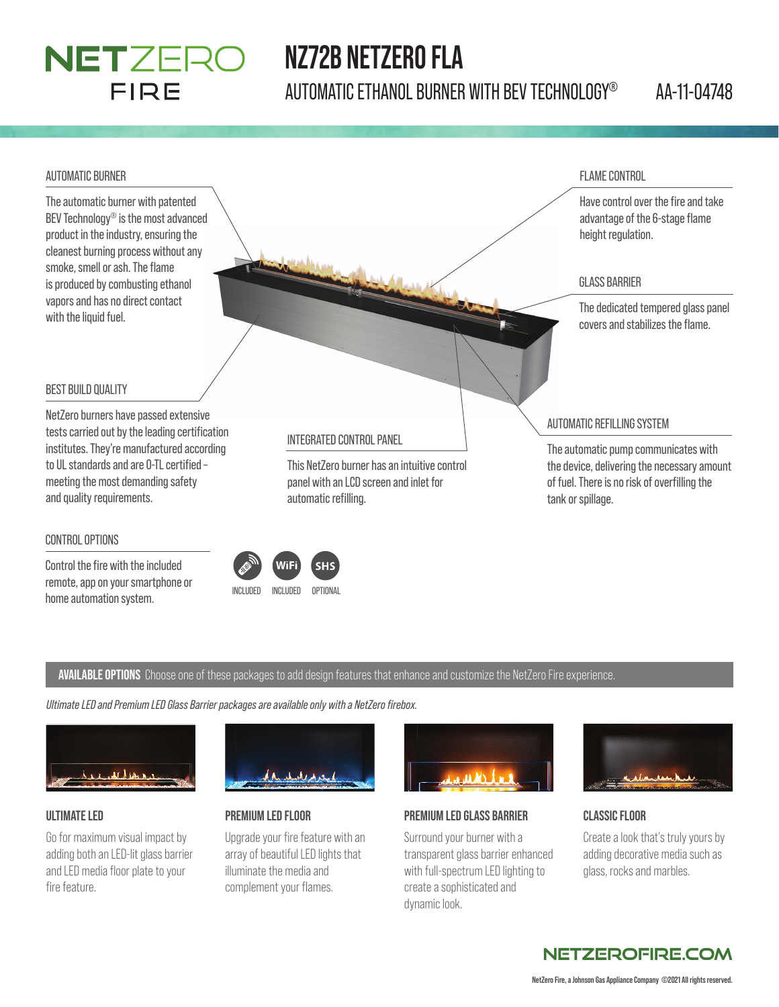## **NETZERO** FIRE

# **NZ72B NETZERO FLA**

AUTOMATIC ETHANOL BURNER WITH BEV TECHNOLOGY® AA-11-04748

#### AUTOMATIC BURNER

The automatic burner with patented BEV Technology® is the most advanced product in the industry, ensuring the cleanest burning process without any smoke, smell or ash. The flame is produced by combusting ethanol vapors and has no direct contact with the liquid fuel.



### BEST BUILD QUALITY

NetZero burners have passed extensive tests carried out by the leading certification institutes. They're manufactured according to UL standards and are 0-TL certified meeting the most demanding safety and quality requirements.

#### CONTROL OPTIONS

Control the fire with the included remote, app on your smartphone or home automation system.<br>
INCLUDED INCLUDED OPTIONAL

panel with an LCD screen and inlet for automatic refilling.

of fuel. There is no risk of overfilling the tank or spillage.

#### **AVAILABLE OPTIONS** Choose one of these packages to add design features that enhance and customize the NetZero Fire experience.

*Ultimate LED and Premium LED Glass Barrier packages are available only with a NetZero fi rebox.*



#### **ULTIMATE LED**

Go for maximum visual impact by adding both an LED-lit glass barrier and LED media floor plate to your fire feature.



#### **PREMIUM LED FLOOR**

Upgrade your fire feature with an array of beautiful LED lights that illuminate the media and complement your flames.



#### **PREMIUM LED GLASS BARRIER**

Surround your burner with a transparent glass barrier enhanced with full-spectrum LED lighting to create a sophisticated and dynamic look.



#### **CLASSIC FLOOR**

Create a look that's truly yours by adding decorative media such as glass, rocks and marbles.